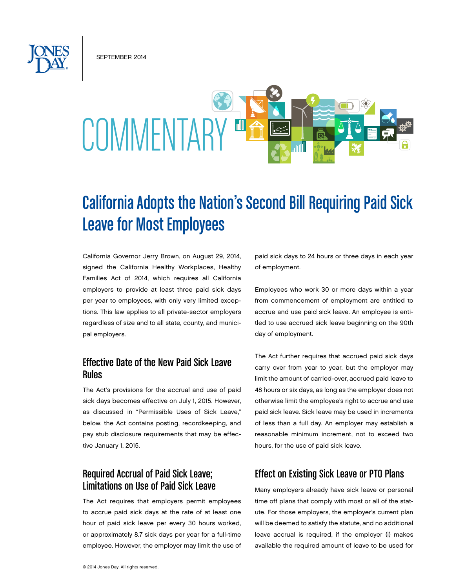September 2014

# COMMENTAR

# California Adopts the Nation's Second Bill Requiring Paid Sick Leave for Most Employees

California Governor Jerry Brown, on August 29, 2014, signed the California Healthy Workplaces, Healthy Families Act of 2014, which requires all California employers to provide at least three paid sick days per year to employees, with only very limited exceptions. This law applies to all private-sector employers regardless of size and to all state, county, and municipal employers.

#### Effective Date of the New Paid Sick Leave Rules

The Act's provisions for the accrual and use of paid sick days becomes effective on July 1, 2015. However, as discussed in "Permissible Uses of Sick Leave," below, the Act contains posting, recordkeeping, and pay stub disclosure requirements that may be effective January 1, 2015.

# Required Accrual of Paid Sick Leave; Limitations on Use of Paid Sick Leave

The Act requires that employers permit employees to accrue paid sick days at the rate of at least one hour of paid sick leave per every 30 hours worked, or approximately 8.7 sick days per year for a full-time employee. However, the employer may limit the use of paid sick days to 24 hours or three days in each year of employment.

Employees who work 30 or more days within a year from commencement of employment are entitled to accrue and use paid sick leave. An employee is entitled to use accrued sick leave beginning on the 90th day of employment.

The Act further requires that accrued paid sick days carry over from year to year, but the employer may limit the amount of carried-over, accrued paid leave to 48 hours or six days, as long as the employer does not otherwise limit the employee's right to accrue and use paid sick leave. Sick leave may be used in increments of less than a full day. An employer may establish a reasonable minimum increment, not to exceed two hours, for the use of paid sick leave.

#### Effect on Existing Sick Leave or PTO Plans

Many employers already have sick leave or personal time off plans that comply with most or all of the statute. For those employers, the employer's current plan will be deemed to satisfy the statute, and no additional leave accrual is required, if the employer (i) makes available the required amount of leave to be used for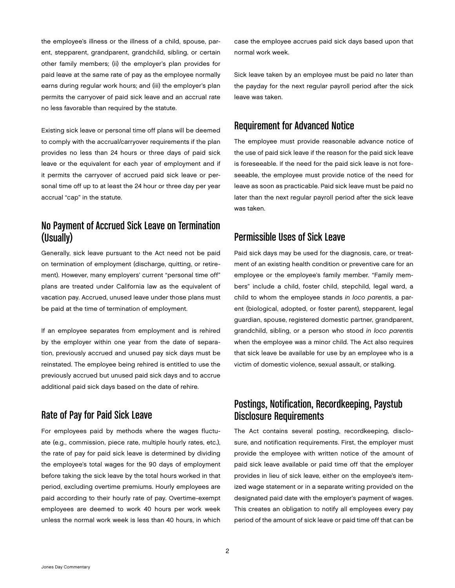the employee's illness or the illness of a child, spouse, parent, stepparent, grandparent, grandchild, sibling, or certain other family members; (ii) the employer's plan provides for paid leave at the same rate of pay as the employee normally earns during regular work hours; and (iii) the employer's plan permits the carryover of paid sick leave and an accrual rate no less favorable than required by the statute.

Existing sick leave or personal time off plans will be deemed to comply with the accrual/carryover requirements if the plan provides no less than 24 hours or three days of paid sick leave or the equivalent for each year of employment and if it permits the carryover of accrued paid sick leave or personal time off up to at least the 24 hour or three day per year accrual "cap" in the statute.

### No Payment of Accrued Sick Leave on Termination (Usually)

Generally, sick leave pursuant to the Act need not be paid on termination of employment (discharge, quitting, or retirement). However, many employers' current "personal time off" plans are treated under California law as the equivalent of vacation pay. Accrued, unused leave under those plans must be paid at the time of termination of employment.

If an employee separates from employment and is rehired by the employer within one year from the date of separation, previously accrued and unused pay sick days must be reinstated. The employee being rehired is entitled to use the previously accrued but unused paid sick days and to accrue additional paid sick days based on the date of rehire.

### Rate of Pay for Paid Sick Leave

For employees paid by methods where the wages fluctuate (e.g., commission, piece rate, multiple hourly rates, etc.), the rate of pay for paid sick leave is determined by dividing the employee's total wages for the 90 days of employment before taking the sick leave by the total hours worked in that period, excluding overtime premiums. Hourly employees are paid according to their hourly rate of pay. Overtime-exempt employees are deemed to work 40 hours per work week unless the normal work week is less than 40 hours, in which

case the employee accrues paid sick days based upon that normal work week.

Sick leave taken by an employee must be paid no later than the payday for the next regular payroll period after the sick leave was taken.

#### Requirement for Advanced Notice

The employee must provide reasonable advance notice of the use of paid sick leave if the reason for the paid sick leave is foreseeable. If the need for the paid sick leave is not foreseeable, the employee must provide notice of the need for leave as soon as practicable. Paid sick leave must be paid no later than the next regular payroll period after the sick leave was taken.

#### Permissible Uses of Sick Leave

Paid sick days may be used for the diagnosis, care, or treatment of an existing health condition or preventive care for an employee or the employee's family member. "Family members" include a child, foster child, stepchild, legal ward, a child to whom the employee stands *in loco parentis*, a parent (biological, adopted, or foster parent), stepparent, legal guardian, spouse, registered domestic partner, grandparent, grandchild, sibling, or a person who stood *in loco parentis*  when the employee was a minor child. The Act also requires that sick leave be available for use by an employee who is a victim of domestic violence, sexual assault, or stalking.

#### Postings, Notification, Recordkeeping, Paystub Disclosure Requirements

The Act contains several posting, recordkeeping, disclosure, and notification requirements. First, the employer must provide the employee with written notice of the amount of paid sick leave available or paid time off that the employer provides in lieu of sick leave, either on the employee's itemized wage statement or in a separate writing provided on the designated paid date with the employer's payment of wages. This creates an obligation to notify all employees every pay period of the amount of sick leave or paid time off that can be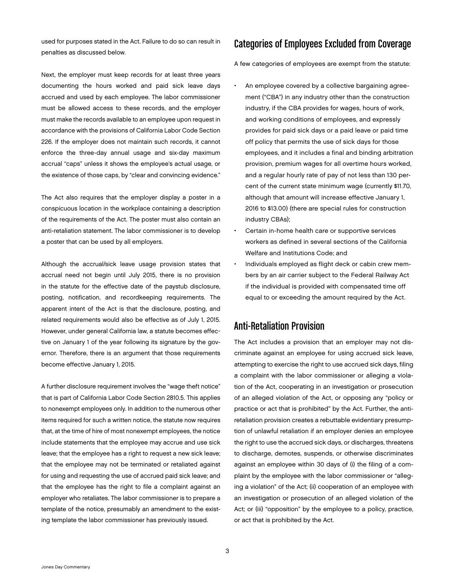used for purposes stated in the Act. Failure to do so can result in penalties as discussed below.

Next, the employer must keep records for at least three years documenting the hours worked and paid sick leave days accrued and used by each employee. The labor commissioner must be allowed access to these records, and the employer must make the records available to an employee upon request in accordance with the provisions of California Labor Code Section 226. If the employer does not maintain such records, it cannot enforce the three-day annual usage and six-day maximum accrual "caps" unless it shows the employee's actual usage, or the existence of those caps, by "clear and convincing evidence."

The Act also requires that the employer display a poster in a conspicuous location in the workplace containing a description of the requirements of the Act. The poster must also contain an anti-retaliation statement. The labor commissioner is to develop a poster that can be used by all employers.

Although the accrual/sick leave usage provision states that accrual need not begin until July 2015, there is no provision in the statute for the effective date of the paystub disclosure, posting, notification, and recordkeeping requirements. The apparent intent of the Act is that the disclosure, posting, and related requirements would also be effective as of July 1, 2015. However, under general California law, a statute becomes effective on January 1 of the year following its signature by the governor. Therefore, there is an argument that those requirements become effective January 1, 2015.

A further disclosure requirement involves the "wage theft notice" that is part of California Labor Code Section 2810.5. This applies to nonexempt employees only. In addition to the numerous other items required for such a written notice, the statute now requires that, at the time of hire of most nonexempt employees, the notice include statements that the employee may accrue and use sick leave; that the employee has a right to request a new sick leave; that the employee may not be terminated or retaliated against for using and requesting the use of accrued paid sick leave; and that the employee has the right to file a complaint against an employer who retaliates. The labor commissioner is to prepare a template of the notice, presumably an amendment to the existing template the labor commissioner has previously issued.

#### Categories of Employees Excluded from Coverage

A few categories of employees are exempt from the statute:

- An employee covered by a collective bargaining agreement ("CBA") in any industry other than the construction industry, if the CBA provides for wages, hours of work, and working conditions of employees, and expressly provides for paid sick days or a paid leave or paid time off policy that permits the use of sick days for those employees, and it includes a final and binding arbitration provision, premium wages for all overtime hours worked, and a regular hourly rate of pay of not less than 130 percent of the current state minimum wage (currently \$11.70, although that amount will increase effective January 1, 2016 to \$13.00) (there are special rules for construction industry CBAs);
- Certain in-home health care or supportive services workers as defined in several sections of the California Welfare and Institutions Code; and
- Individuals employed as flight deck or cabin crew members by an air carrier subject to the Federal Railway Act if the individual is provided with compensated time off equal to or exceeding the amount required by the Act.

#### Anti-Retaliation Provision

The Act includes a provision that an employer may not discriminate against an employee for using accrued sick leave, attempting to exercise the right to use accrued sick days, filing a complaint with the labor commissioner or alleging a violation of the Act, cooperating in an investigation or prosecution of an alleged violation of the Act, or opposing any "policy or practice or act that is prohibited" by the Act. Further, the antiretaliation provision creates a rebuttable evidentiary presumption of unlawful retaliation if an employer denies an employee the right to use the accrued sick days, or discharges, threatens to discharge, demotes, suspends, or otherwise discriminates against an employee within 30 days of (i) the filing of a complaint by the employee with the labor commissioner or "alleging a violation" of the Act; (ii) cooperation of an employee with an investigation or prosecution of an alleged violation of the Act; or (iii) "opposition" by the employee to a policy, practice, or act that is prohibited by the Act.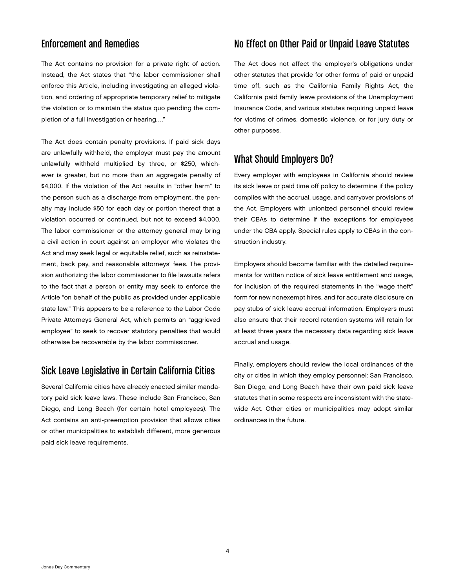# Enforcement and Remedies

The Act contains no provision for a private right of action. Instead, the Act states that "the labor commissioner shall enforce this Article, including investigating an alleged violation, and ordering of appropriate temporary relief to mitigate the violation or to maintain the status quo pending the completion of a full investigation or hearing.…"

The Act does contain penalty provisions. If paid sick days are unlawfully withheld, the employer must pay the amount unlawfully withheld multiplied by three, or \$250, whichever is greater, but no more than an aggregate penalty of \$4,000. If the violation of the Act results in "other harm" to the person such as a discharge from employment, the penalty may include \$50 for each day or portion thereof that a violation occurred or continued, but not to exceed \$4,000. The labor commissioner or the attorney general may bring a civil action in court against an employer who violates the Act and may seek legal or equitable relief, such as reinstatement, back pay, and reasonable attorneys' fees. The provision authorizing the labor commissioner to file lawsuits refers to the fact that a person or entity may seek to enforce the Article "on behalf of the public as provided under applicable state law." This appears to be a reference to the Labor Code Private Attorneys General Act, which permits an "aggrieved employee" to seek to recover statutory penalties that would otherwise be recoverable by the labor commissioner.

#### Sick Leave Legislative in Certain California Cities

Several California cities have already enacted similar mandatory paid sick leave laws. These include San Francisco, San Diego, and Long Beach (for certain hotel employees). The Act contains an anti-preemption provision that allows cities or other municipalities to establish different, more generous paid sick leave requirements.

# No Effect on Other Paid or Unpaid Leave Statutes

The Act does not affect the employer's obligations under other statutes that provide for other forms of paid or unpaid time off, such as the California Family Rights Act, the California paid family leave provisions of the Unemployment Insurance Code, and various statutes requiring unpaid leave for victims of crimes, domestic violence, or for jury duty or other purposes.

# What Should Employers Do?

Every employer with employees in California should review its sick leave or paid time off policy to determine if the policy complies with the accrual, usage, and carryover provisions of the Act. Employers with unionized personnel should review their CBAs to determine if the exceptions for employees under the CBA apply. Special rules apply to CBAs in the construction industry.

Employers should become familiar with the detailed requirements for written notice of sick leave entitlement and usage, for inclusion of the required statements in the "wage theft" form for new nonexempt hires, and for accurate disclosure on pay stubs of sick leave accrual information. Employers must also ensure that their record retention systems will retain for at least three years the necessary data regarding sick leave accrual and usage.

Finally, employers should review the local ordinances of the city or cities in which they employ personnel: San Francisco, San Diego, and Long Beach have their own paid sick leave statutes that in some respects are inconsistent with the statewide Act. Other cities or municipalities may adopt similar ordinances in the future.